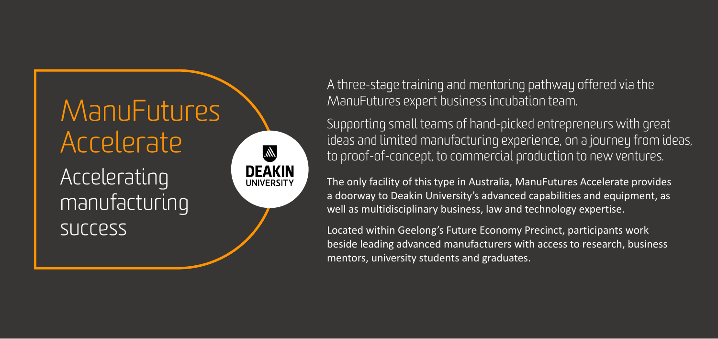

A three-stage training and mentoring pathway offered via the ManuFutures expert business incubation team.

Supporting small teams of hand-picked entrepreneurs with great ideas and limited manufacturing experience, on a journey from ideas, to proof-of-concept, to commercial production to new ventures.

The only facility of this type in Australia, ManuFutures Accelerate provides a doorway to Deakin University's advanced capabilities and equipment, as well as multidisciplinary business, law and technology expertise.

Located within Geelong's Future Economy Precinct, participants work beside leading advanced manufacturers with access to research, business mentors, university students and graduates.